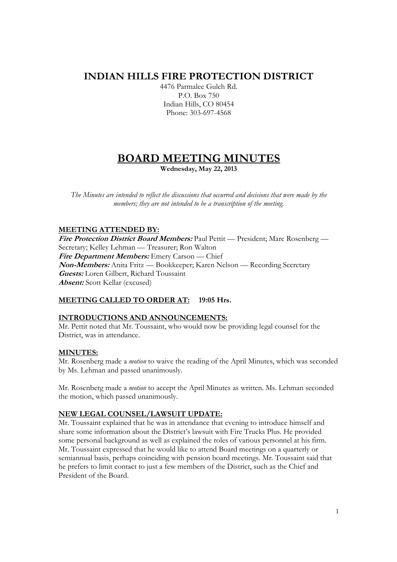## **INDIAN HILLS FIRE PROTECTION DISTRICT**

4476 Parmalee Gulch Rd. P.O. Box 750 Indian Hills, CO 80454 Phone: 303-697-4568

# **BOARD MEETING MINUTES**

**Wednesday, May 22, 2013** 

*The Minutes are intended to reflect the discussions that occurred and decisions that were made by the members; they are not intended to be a transcription of the meeting.* 

## **MEETING ATTENDED BY:**

**Fire Protection District Board Members:** Paul Pettit — President; Marc Rosenberg — Secretary; Kelley Lehman — Treasurer; Ron Walton **Fire Department Members:** Emery Carson — Chief **Non-Members:** Anita Fritz — Bookkeeper; Karen Nelson — Recording Secretary **Guests:** Loren Gilbert, Richard Toussaint **Absent:** Scott Kellar (excused)

## **MEETING CALLED TO ORDER AT: 19:05 Hrs.**

## **INTRODUCTIONS AND ANNOUNCEMENTS:**

Mr. Pettit noted that Mr. Toussaint, who would now be providing legal counsel for the District, was in attendance.

## **MINUTES:**

Mr. Rosenberg made a *motion* to waive the reading of the April Minutes, which was seconded by Ms. Lehman and passed unanimously.

Mr. Rosenberg made a *motion* to accept the April Minutes as written. Ms. Lehman seconded the motion, which passed unanimously.

## **NEW LEGAL COUNSEL/LAWSUIT UPDATE:**

Mr. Toussaint explained that he was in attendance that evening to introduce himself and share some information about the District's lawsuit with Fire Trucks Plus. He provided some personal background as well as explained the roles of various personnel at his firm. Mr. Toussaint expressed that he would like to attend Board meetings on a quarterly or semiannual basis, perhaps coinciding with pension board meetings. Mr. Toussaint said that he prefers to limit contact to just a few members of the District, such as the Chief and President of the Board.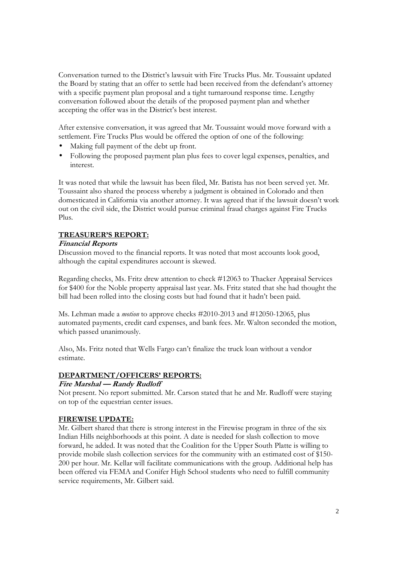Conversation turned to the District's lawsuit with Fire Trucks Plus. Mr. Toussaint updated the Board by stating that an offer to settle had been received from the defendant's attorney with a specific payment plan proposal and a tight turnaround response time. Lengthy conversation followed about the details of the proposed payment plan and whether accepting the offer was in the District's best interest.

After extensive conversation, it was agreed that Mr. Toussaint would move forward with a settlement. Fire Trucks Plus would be offered the option of one of the following:

- Making full payment of the debt up front.
- Following the proposed payment plan plus fees to cover legal expenses, penalties, and interest.

It was noted that while the lawsuit has been filed, Mr. Batista has not been served yet. Mr. Toussaint also shared the process whereby a judgment is obtained in Colorado and then domesticated in California via another attorney. It was agreed that if the lawsuit doesn't work out on the civil side, the District would pursue criminal fraud charges against Fire Trucks Plus.

## **TREASURER'S REPORT:**

#### **Financial Reports**

Discussion moved to the financial reports. It was noted that most accounts look good, although the capital expenditures account is skewed.

Regarding checks, Ms. Fritz drew attention to check #12063 to Thacker Appraisal Services for \$400 for the Noble property appraisal last year. Ms. Fritz stated that she had thought the bill had been rolled into the closing costs but had found that it hadn't been paid.

Ms. Lehman made a *motion* to approve checks #2010-2013 and #12050-12065, plus automated payments, credit card expenses, and bank fees. Mr. Walton seconded the motion, which passed unanimously.

Also, Ms. Fritz noted that Wells Fargo can't finalize the truck loan without a vendor estimate.

## **DEPARTMENT/OFFICERS' REPORTS:**

## **Fire Marshal — Randy Rudloff**

Not present. No report submitted. Mr. Carson stated that he and Mr. Rudloff were staying on top of the equestrian center issues.

## **FIREWISE UPDATE:**

Mr. Gilbert shared that there is strong interest in the Firewise program in three of the six Indian Hills neighborhoods at this point. A date is needed for slash collection to move forward, he added. It was noted that the Coalition for the Upper South Platte is willing to provide mobile slash collection services for the community with an estimated cost of \$150- 200 per hour. Mr. Kellar will facilitate communications with the group. Additional help has been offered via FEMA and Conifer High School students who need to fulfill community service requirements, Mr. Gilbert said.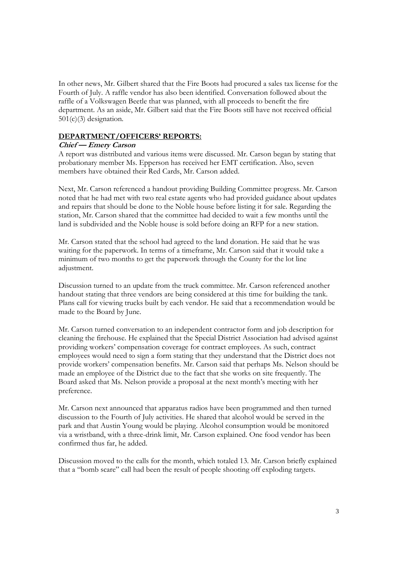In other news, Mr. Gilbert shared that the Fire Boots had procured a sales tax license for the Fourth of July. A raffle vendor has also been identified. Conversation followed about the raffle of a Volkswagen Beetle that was planned, with all proceeds to benefit the fire department. As an aside, Mr. Gilbert said that the Fire Boots still have not received official 501(c)(3) designation.

#### **DEPARTMENT/OFFICERS' REPORTS:**

#### **Chief — Emery Carson**

A report was distributed and various items were discussed. Mr. Carson began by stating that probationary member Ms. Epperson has received her EMT certification. Also, seven members have obtained their Red Cards, Mr. Carson added.

Next, Mr. Carson referenced a handout providing Building Committee progress. Mr. Carson noted that he had met with two real estate agents who had provided guidance about updates and repairs that should be done to the Noble house before listing it for sale. Regarding the station, Mr. Carson shared that the committee had decided to wait a few months until the land is subdivided and the Noble house is sold before doing an RFP for a new station.

Mr. Carson stated that the school had agreed to the land donation. He said that he was waiting for the paperwork. In terms of a timeframe, Mr. Carson said that it would take a minimum of two months to get the paperwork through the County for the lot line adjustment.

Discussion turned to an update from the truck committee. Mr. Carson referenced another handout stating that three vendors are being considered at this time for building the tank. Plans call for viewing trucks built by each vendor. He said that a recommendation would be made to the Board by June.

Mr. Carson turned conversation to an independent contractor form and job description for cleaning the firehouse. He explained that the Special District Association had advised against providing workers' compensation coverage for contract employees. As such, contract employees would need to sign a form stating that they understand that the District does not provide workers' compensation benefits. Mr. Carson said that perhaps Ms. Nelson should be made an employee of the District due to the fact that she works on site frequently. The Board asked that Ms. Nelson provide a proposal at the next month's meeting with her preference.

Mr. Carson next announced that apparatus radios have been programmed and then turned discussion to the Fourth of July activities. He shared that alcohol would be served in the park and that Austin Young would be playing. Alcohol consumption would be monitored via a wristband, with a three-drink limit, Mr. Carson explained. One food vendor has been confirmed thus far, he added.

Discussion moved to the calls for the month, which totaled 13. Mr. Carson briefly explained that a "bomb scare" call had been the result of people shooting off exploding targets.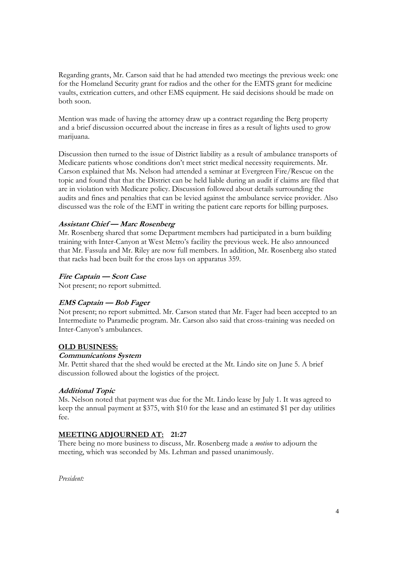Regarding grants, Mr. Carson said that he had attended two meetings the previous week: one for the Homeland Security grant for radios and the other for the EMTS grant for medicine vaults, extrication cutters, and other EMS equipment. He said decisions should be made on both soon.

Mention was made of having the attorney draw up a contract regarding the Berg property and a brief discussion occurred about the increase in fires as a result of lights used to grow marijuana.

Discussion then turned to the issue of District liability as a result of ambulance transports of Medicare patients whose conditions don't meet strict medical necessity requirements. Mr. Carson explained that Ms. Nelson had attended a seminar at Evergreen Fire/Rescue on the topic and found that that the District can be held liable during an audit if claims are filed that are in violation with Medicare policy. Discussion followed about details surrounding the audits and fines and penalties that can be levied against the ambulance service provider. Also discussed was the role of the EMT in writing the patient care reports for billing purposes.

## **Assistant Chief — Marc Rosenberg**

Mr. Rosenberg shared that some Department members had participated in a burn building training with Inter-Canyon at West Metro's facility the previous week. He also announced that Mr. Fassula and Mr. Riley are now full members. In addition, Mr. Rosenberg also stated that racks had been built for the cross lays on apparatus 359.

#### **Fire Captain — Scott Case**

Not present; no report submitted.

## **EMS Captain — Bob Fager**

Not present; no report submitted. Mr. Carson stated that Mr. Fager had been accepted to an Intermediate to Paramedic program. Mr. Carson also said that cross-training was needed on Inter-Canyon's ambulances.

#### **OLD BUSINESS:**

#### **Communications System**

Mr. Pettit shared that the shed would be erected at the Mt. Lindo site on June 5. A brief discussion followed about the logistics of the project.

## **Additional Topic**

Ms. Nelson noted that payment was due for the Mt. Lindo lease by July 1. It was agreed to keep the annual payment at \$375, with \$10 for the lease and an estimated \$1 per day utilities fee.

## **MEETING ADJOURNED AT: 21:27**

There being no more business to discuss, Mr. Rosenberg made a *motion* to adjourn the meeting, which was seconded by Ms. Lehman and passed unanimously.

*President:*